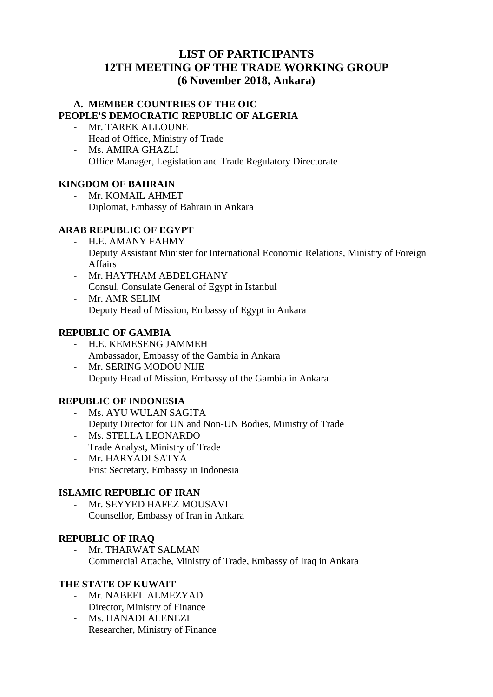# **LIST OF PARTICIPANTS 12TH MEETING OF THE TRADE WORKING GROUP (6 November 2018, Ankara)**

### **A. MEMBER COUNTRIES OF THE OIC PEOPLE'S DEMOCRATIC REPUBLIC OF ALGERIA**

- Mr. TAREK ALLOUNE Head of Office, Ministry of Trade
- Ms. AMIRA GHAZLI Office Manager, Legislation and Trade Regulatory Directorate

# **KINGDOM OF BAHRAIN**

Mr. KOMAIL AHMET Diplomat, Embassy of Bahrain in Ankara

## **ARAB REPUBLIC OF EGYPT**

- H.E. AMANY FAHMY Deputy Assistant Minister for International Economic Relations, Ministry of Foreign Affairs
- Mr. HAYTHAM ABDELGHANY Consul, Consulate General of Egypt in Istanbul - Mr. AMR SELIM
- Deputy Head of Mission, Embassy of Egypt in Ankara

## **REPUBLIC OF GAMBIA**

- H.E. KEMESENG JAMMEH Ambassador, Embassy of the Gambia in Ankara
- Mr. SERING MODOU NIJE Deputy Head of Mission, Embassy of the Gambia in Ankara

## **REPUBLIC OF INDONESIA**

- Ms. AYU WULAN SAGITA Deputy Director for UN and Non-UN Bodies, Ministry of Trade
- Ms. STELLA LEONARDO Trade Analyst, Ministry of Trade - Mr. HARYADI SATYA
- Frist Secretary, Embassy in Indonesia

## **ISLAMIC REPUBLIC OF IRAN**

- Mr. SEYYED HAFEZ MOUSAVI Counsellor, Embassy of Iran in Ankara

## **REPUBLIC OF IRAQ**

- Mr. THARWAT SALMAN Commercial Attache, Ministry of Trade, Embassy of Iraq in Ankara

## **THE STATE OF KUWAIT**

- Mr. NABEEL ALMEZYAD Director, Ministry of Finance
- Ms. HANADI ALENEZI Researcher, Ministry of Finance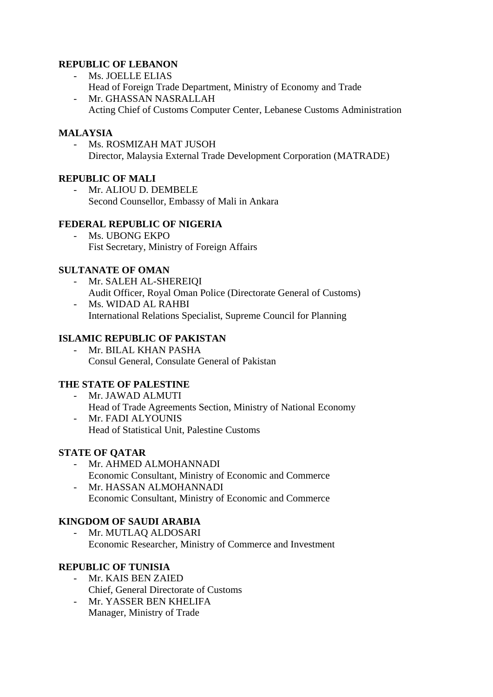## **REPUBLIC OF LEBANON**

- Ms. JOELLE ELIAS
- Head of Foreign Trade Department, Ministry of Economy and Trade - Mr. GHASSAN NASRALLAH
- Acting Chief of Customs Computer Center, Lebanese Customs Administration

### **MALAYSIA**

- Ms. ROSMIZAH MAT JUSOH Director, Malaysia External Trade Development Corporation (MATRADE)

# **REPUBLIC OF MALI**

- Mr. ALIOU D. DEMBELE Second Counsellor, Embassy of Mali in Ankara

## **FEDERAL REPUBLIC OF NIGERIA**

Ms. UBONG EKPO Fist Secretary, Ministry of Foreign Affairs

## **SULTANATE OF OMAN**

- Mr. SALEH AL-SHEREIQI Audit Officer, Royal Oman Police (Directorate General of Customs)
- Ms. WIDAD AL RAHBI International Relations Specialist, Supreme Council for Planning

## **ISLAMIC REPUBLIC OF PAKISTAN**

- Mr. BILAL KHAN PASHA Consul General, Consulate General of Pakistan

## **THE STATE OF PALESTINE**

- Mr. JAWAD ALMUTI Head of Trade Agreements Section, Ministry of National Economy - Mr. FADI ALYOUNIS
- Head of Statistical Unit, Palestine Customs

## **STATE OF QATAR**

- Mr. AHMED ALMOHANNADI Economic Consultant, Ministry of Economic and Commerce
- Mr. HASSAN ALMOHANNADI Economic Consultant, Ministry of Economic and Commerce

## **KINGDOM OF SAUDI ARABIA**

Mr. MUTLAQ ALDOSARI Economic Researcher, Ministry of Commerce and Investment

### **REPUBLIC OF TUNISIA**

- Mr. KAIS BEN ZAIED Chief, General Directorate of Customs
- Mr. YASSER BEN KHELIFA Manager, Ministry of Trade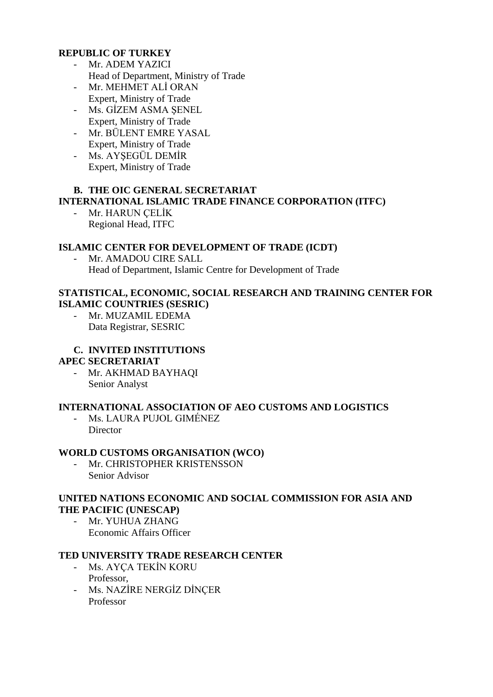### **REPUBLIC OF TURKEY**

- Mr. ADEM YAZICI Head of Department, Ministry of Trade
- Mr. MEHMET ALİ ORAN Expert, Ministry of Trade
- Ms. GİZEM ASMA ŞENEL Expert, Ministry of Trade
- Mr. BÜLENT EMRE YASAL Expert, Ministry of Trade
- Ms. AYŞEGÜL DEMİR Expert, Ministry of Trade

### **B. THE OIC GENERAL SECRETARIAT**

### **INTERNATIONAL ISLAMIC TRADE FINANCE CORPORATION (ITFC)**

- Mr. HARUN ÇELİK Regional Head, ITFC

#### **ISLAMIC CENTER FOR DEVELOPMENT OF TRADE (ICDT)**

Mr. AMADOU CIRE SALL Head of Department, Islamic Centre for Development of Trade

#### **STATISTICAL, ECONOMIC, SOCIAL RESEARCH AND TRAINING CENTER FOR ISLAMIC COUNTRIES (SESRIC)**

- Mr. MUZAMIL EDEMA Data Registrar, SESRIC

### **C. INVITED INSTITUTIONS**

#### **APEC SECRETARIAT**

- Mr. AKHMAD BAYHAQI Senior Analyst

### **INTERNATIONAL ASSOCIATION OF AEO CUSTOMS AND LOGISTICS**

- Ms. LAURA PUJOL GIMÉNEZ **Director** 

### **WORLD CUSTOMS ORGANISATION (WCO)**

Mr. CHRISTOPHER KRISTENSSON Senior Advisor

#### **UNITED NATIONS ECONOMIC AND SOCIAL COMMISSION FOR ASIA AND THE PACIFIC (UNESCAP)**

- Mr. YUHUA ZHANG Economic Affairs Officer

#### **TED UNIVERSITY TRADE RESEARCH CENTER**

- Ms. AYÇA TEKİN KORU Professor,
- Ms. NAZİRE NERGİZ DİNÇER Professor